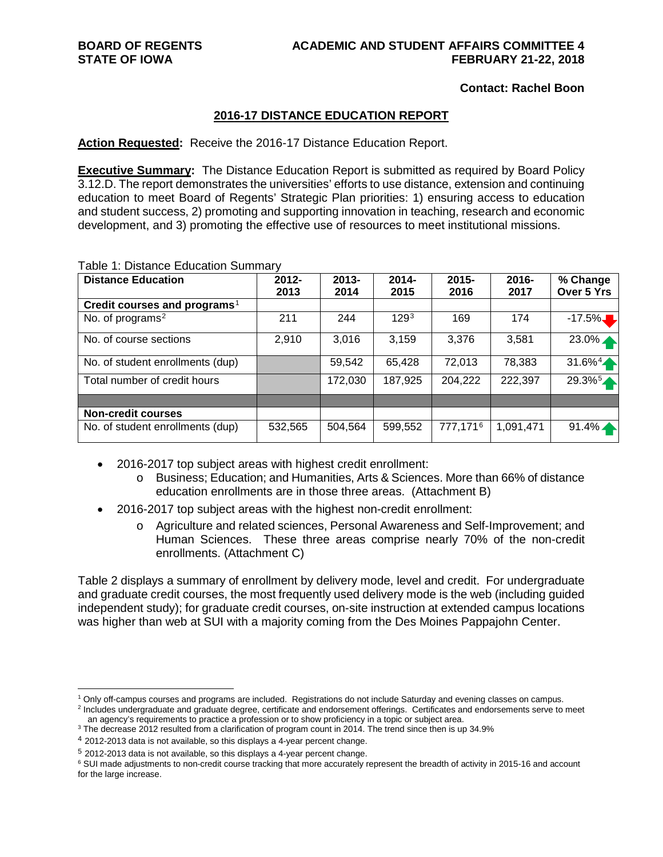#### **BOARD OF REGENTS ACADEMIC AND STUDENT AFFAIRS COMMITTEE 4 STATE OF IOWA FEBRUARY 21-22, 2018**

#### **Contact: Rachel Boon**

#### **2016-17 DISTANCE EDUCATION REPORT**

**Action Requested:** Receive the 2016-17 Distance Education Report.

**Executive Summary:** The Distance Education Report is submitted as required by Board Policy 3.12.D. The report demonstrates the universities' efforts to use distance, extension and continuing education to meet Board of Regents' Strategic Plan priorities: 1) ensuring access to education and student success, 2) promoting and supporting innovation in teaching, research and economic development, and 3) promoting the effective use of resources to meet institutional missions.

| <b>Distance Education</b>                | $2012 -$<br>2013 | $2013 -$<br>2014 | $2014 -$<br>2015 | $2015 -$<br>2016 | 2016-<br>2017 | % Change<br>Over 5 Yrs |
|------------------------------------------|------------------|------------------|------------------|------------------|---------------|------------------------|
| Credit courses and programs <sup>1</sup> |                  |                  |                  |                  |               |                        |
| No. of programs <sup>2</sup>             | 211              | 244              | 129 <sup>3</sup> | 169              | 174           | $-17.5\%$              |
| No. of course sections                   | 2,910            | 3,016            | 3,159            | 3,376            | 3,581         | 23.0%                  |
| No. of student enrollments (dup)         |                  | 59,542           | 65,428           | 72,013           | 78,383        | $31.6\%4$              |
| Total number of credit hours             |                  | 172,030          | 187,925          | 204,222          | 222,397       | 29.3%                  |
|                                          |                  |                  |                  |                  |               |                        |
| <b>Non-credit courses</b>                |                  |                  |                  |                  |               |                        |
| No. of student enrollments (dup)         | 532,565          | 504,564          | 599,552          | 777,1716         | 1,091,471     | $91.4\%$               |

#### Table 1: Distance Education Summary

- 2016-2017 top subject areas with highest credit enrollment:
	- o Business; Education; and Humanities, Arts & Sciences. More than 66% of distance education enrollments are in those three areas. (Attachment B)
- 2016-2017 top subject areas with the highest non-credit enrollment:
	- o Agriculture and related sciences, Personal Awareness and Self-Improvement; and Human Sciences. These three areas comprise nearly 70% of the non-credit enrollments. (Attachment C)

Table 2 displays a summary of enrollment by delivery mode, level and credit. For undergraduate and graduate credit courses, the most frequently used delivery mode is the web (including guided independent study); for graduate credit courses, on-site instruction at extended campus locations was higher than web at SUI with a majority coming from the Des Moines Pappajohn Center.

<span id="page-0-1"></span><span id="page-0-0"></span> <sup>1</sup> Only off-campus courses and programs are included. Registrations do not include Saturday and evening classes on campus. <sup>2</sup> Includes undergraduate and graduate degree, certificate and endorsement offerings. Certificates and endorsements serve to meet

an agency's requirements to practice a profession or to show proficiency in a topic or subject area.

<span id="page-0-2"></span><sup>&</sup>lt;sup>3</sup> The decrease 2012 resulted from a clarification of program count in 2014. The trend since then is up 34.9%

<span id="page-0-3"></span><sup>4</sup> 2012-2013 data is not available, so this displays a 4-year percent change.

<span id="page-0-4"></span><sup>5</sup> 2012-2013 data is not available, so this displays a 4-year percent change.

<span id="page-0-5"></span><sup>&</sup>lt;sup>6</sup> SUI made adjustments to non-credit course tracking that more accurately represent the breadth of activity in 2015-16 and account for the large increase.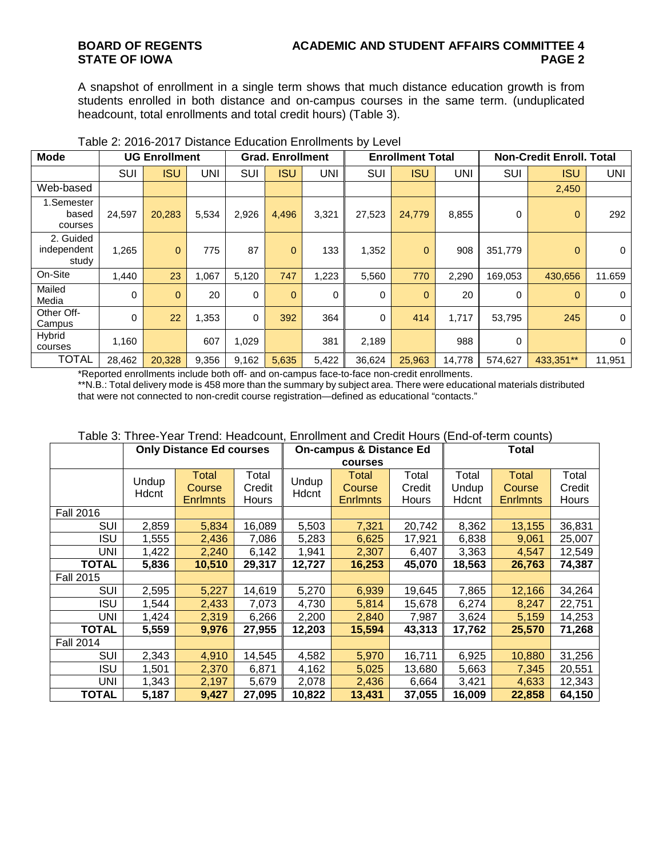A snapshot of enrollment in a single term shows that much distance education growth is from students enrolled in both distance and on-campus courses in the same term. (unduplicated headcount, total enrollments and total credit hours) (Table 3).

| <b>Mode</b>                       |        | <b>UG Enrollment</b> |       |       | <b>Grad. Enrollment</b> |       |          | <b>Enrollment Total</b> |            |          | <b>Non-Credit Enroll. Total</b> |             |
|-----------------------------------|--------|----------------------|-------|-------|-------------------------|-------|----------|-------------------------|------------|----------|---------------------------------|-------------|
|                                   | SUI    | <b>ISU</b>           | UNI   | SUI   | <b>ISU</b>              | UNI   | SUI      | <b>ISU</b>              | <b>UNI</b> | SUI      | <b>ISU</b>                      | UNI         |
| Web-based                         |        |                      |       |       |                         |       |          |                         |            |          | 2,450                           |             |
| 1.Semester<br>based<br>courses    | 24,597 | 20,283               | 5,534 | 2,926 | 4.496                   | 3,321 | 27,523   | 24,779                  | 8,855      | $\Omega$ | $\overline{0}$                  | 292         |
| 2. Guided<br>independent<br>study | 1,265  | $\mathbf{0}$         | 775   | 87    | $\overline{0}$          | 133   | 1,352    | $\mathbf{0}$            | 908        | 351,779  | $\overline{0}$                  | $\mathbf 0$ |
| On-Site                           | 1.440  | 23                   | 1,067 | 5,120 | 747                     | 1,223 | 5,560    | 770                     | 2,290      | 169,053  | 430,656                         | 11.659      |
| Mailed<br>Media                   | 0      | $\mathbf{0}$         | 20    | 0     | $\Omega$                | 0     | 0        | $\Omega$                | 20         | $\Omega$ | $\mathbf{0}$                    | $\mathbf 0$ |
| Other Off-<br>Campus              | 0      | 22                   | 1,353 | 0     | 392                     | 364   | $\Omega$ | 414                     | 1,717      | 53,795   | 245                             | $\mathbf 0$ |
| Hybrid<br>courses                 | 1,160  |                      | 607   | 1,029 |                         | 381   | 2,189    |                         | 988        | $\Omega$ |                                 | $\Omega$    |
| <b>TOTAL</b>                      | 28,462 | 20,328               | 9,356 | 9,162 | 5,635                   | 5,422 | 36,624   | 25,963                  | 14,778     | 574,627  | 433,351**                       | 11,951      |

#### Table 2: 2016-2017 Distance Education Enrollments by Level

\*Reported enrollments include both off- and on-campus face-to-face non-credit enrollments.

\*\*N.B.: Total delivery mode is 458 more than the summary by subject area. There were educational materials distributed that were not connected to non-credit course registration—defined as educational "contacts."

|                  | <b>Only Distance Ed courses</b> |                 |        |        | <b>On-campus &amp; Distance Ed</b> |        | <b>Total</b> |                 |        |  |  |
|------------------|---------------------------------|-----------------|--------|--------|------------------------------------|--------|--------------|-----------------|--------|--|--|
|                  |                                 |                 |        |        | courses                            |        |              |                 |        |  |  |
|                  | Undup                           | Total           | Total  | Undup  | Total                              | Total  | Total        | Total           | Total  |  |  |
|                  | Hdcnt                           | Course          | Credit | Hdcnt  | Course                             | Credit | Undup        | Course          | Credit |  |  |
|                  |                                 | <b>Enrimnts</b> | Hours  |        | <b>Enrlmnts</b>                    | Hours  | Hdcnt        | <b>Enrimnts</b> | Hours  |  |  |
| <b>Fall 2016</b> |                                 |                 |        |        |                                    |        |              |                 |        |  |  |
| SUI              | 2,859                           | 5,834           | 16,089 | 5,503  | 7,321                              | 20,742 | 8,362        | 13,155          | 36,831 |  |  |
| ISU              | 1,555                           | 2,436           | 7,086  | 5,283  | 6,625                              | 17,921 | 6,838        | 9,061           | 25,007 |  |  |
| UNI              | 1,422                           | 2,240           | 6,142  | 1,941  | 2,307                              | 6,407  | 3,363        | 4,547           | 12,549 |  |  |
| <b>TOTAL</b>     | 5,836                           | 10,510          | 29,317 | 12,727 | 16,253                             | 45,070 | 18,563       | 26,763          | 74,387 |  |  |
| <b>Fall 2015</b> |                                 |                 |        |        |                                    |        |              |                 |        |  |  |
| SUI              | 2,595                           | 5,227           | 14,619 | 5,270  | 6,939                              | 19,645 | 7,865        | 12,166          | 34,264 |  |  |
| ISU              | 1,544                           | 2,433           | 7,073  | 4,730  | 5,814                              | 15,678 | 6,274        | 8,247           | 22,751 |  |  |
| UNI              | 1,424                           | 2,319           | 6,266  | 2,200  | 2,840                              | 7,987  | 3,624        | 5,159           | 14,253 |  |  |
| <b>TOTAL</b>     | 5,559                           | 9,976           | 27,955 | 12,203 | 15,594                             | 43,313 | 17,762       | 25,570          | 71,268 |  |  |
| <b>Fall 2014</b> |                                 |                 |        |        |                                    |        |              |                 |        |  |  |
| SUI              | 2,343                           | 4,910           | 14,545 | 4,582  | 5,970                              | 16,711 | 6,925        | 10,880          | 31,256 |  |  |
| <b>ISU</b>       | 1,501                           | 2,370           | 6,871  | 4,162  | 5,025                              | 13,680 | 5,663        | 7,345           | 20,551 |  |  |
| UNI              | 1,343                           | 2,197           | 5,679  | 2,078  | 2,436                              | 6,664  | 3,421        | 4,633           | 12,343 |  |  |
| <b>TOTAL</b>     | 5,187                           | 9,427           | 27,095 | 10,822 | 13,431                             | 37,055 | 16,009       | 22,858          | 64,150 |  |  |

#### Table 3: Three-Year Trend: Headcount, Enrollment and Credit Hours (End-of-term counts)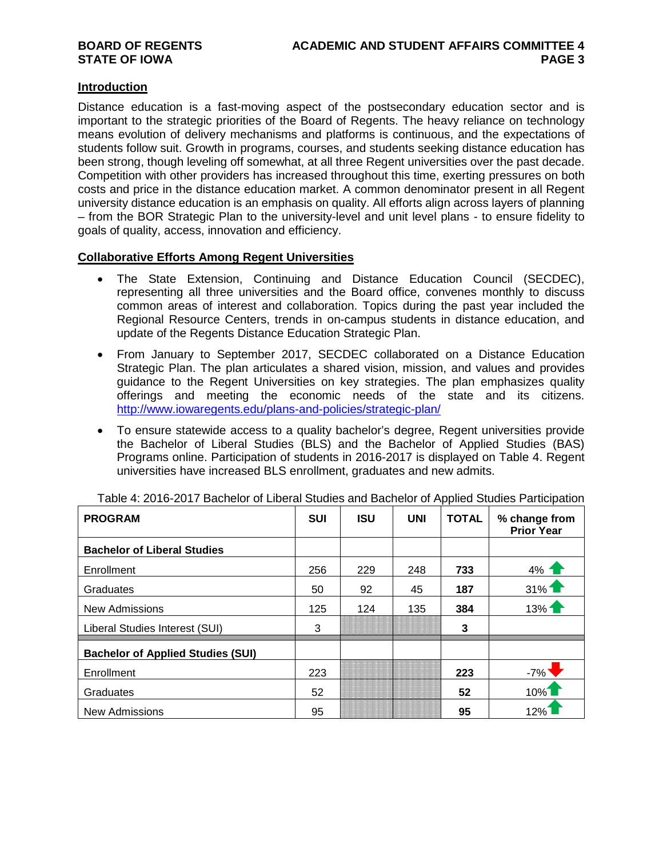#### **Introduction**

Distance education is a fast-moving aspect of the postsecondary education sector and is important to the strategic priorities of the Board of Regents. The heavy reliance on technology means evolution of delivery mechanisms and platforms is continuous, and the expectations of students follow suit. Growth in programs, courses, and students seeking distance education has been strong, though leveling off somewhat, at all three Regent universities over the past decade. Competition with other providers has increased throughout this time, exerting pressures on both costs and price in the distance education market. A common denominator present in all Regent university distance education is an emphasis on quality. All efforts align across layers of planning – from the BOR Strategic Plan to the university-level and unit level plans - to ensure fidelity to goals of quality, access, innovation and efficiency.

#### **Collaborative Efforts Among Regent Universities**

- The State Extension, Continuing and Distance Education Council (SECDEC), representing all three universities and the Board office, convenes monthly to discuss common areas of interest and collaboration. Topics during the past year included the Regional Resource Centers, trends in on-campus students in distance education, and update of the Regents Distance Education Strategic Plan.
- From January to September 2017, SECDEC collaborated on a Distance Education Strategic Plan. The plan articulates a shared vision, mission, and values and provides guidance to the Regent Universities on key strategies. The plan emphasizes quality offerings and meeting the economic needs of the state and its citizens. <http://www.iowaregents.edu/plans-and-policies/strategic-plan/>
- To ensure statewide access to a quality bachelor's degree, Regent universities provide the Bachelor of Liberal Studies (BLS) and the Bachelor of Applied Studies (BAS) Programs online. Participation of students in 2016-2017 is displayed on Table 4. Regent universities have increased BLS enrollment, graduates and new admits.

| <b>PROGRAM</b>                           | <b>SUI</b> | <b>ISU</b> | <b>UNI</b> | <b>TOTAL</b> | % change from<br><b>Prior Year</b> |
|------------------------------------------|------------|------------|------------|--------------|------------------------------------|
| <b>Bachelor of Liberal Studies</b>       |            |            |            |              |                                    |
| Enrollment                               | 256        | 229        | 248        | 733          | $4%$ 1                             |
| Graduates                                | 50         | 92         | 45         | 187          | $31\%$                             |
| <b>New Admissions</b>                    | 125        | 124        | 135        | 384          | $13%$ 1                            |
| Liberal Studies Interest (SUI)           | 3          |            |            | 3            |                                    |
| <b>Bachelor of Applied Studies (SUI)</b> |            |            |            |              |                                    |
| Enrollment                               | 223        |            |            | 223          | $-7%$                              |
| Graduates                                | 52         |            |            | 52           | $10\%$                             |
| <b>New Admissions</b>                    | 95         |            |            | 95           | 12%                                |

Table 4: 2016-2017 Bachelor of Liberal Studies and Bachelor of Applied Studies Participation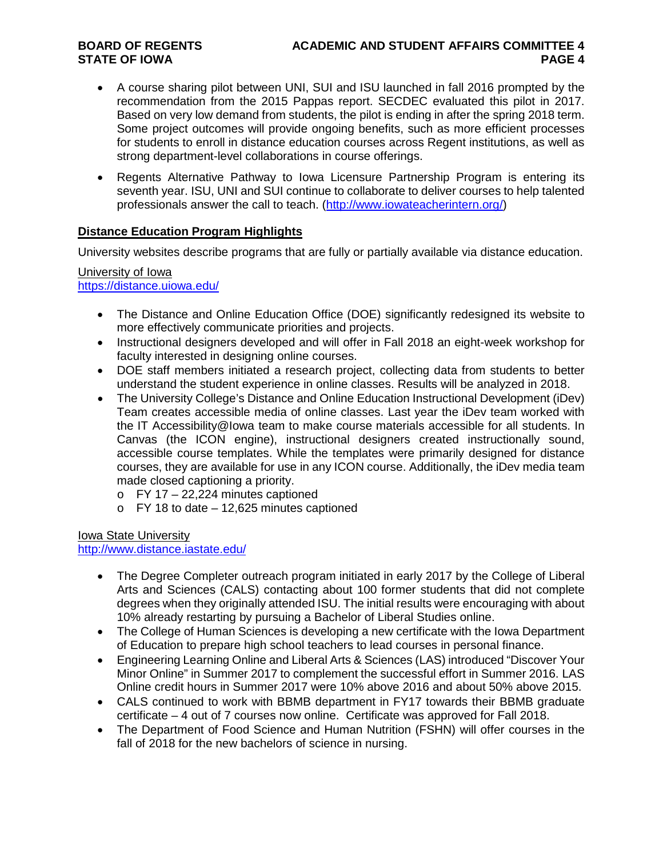# **BOARD OF REGENTS ACADEMIC AND STUDENT AFFAIRS COMMITTEE 4**

- A course sharing pilot between UNI, SUI and ISU launched in fall 2016 prompted by the recommendation from the 2015 Pappas report. SECDEC evaluated this pilot in 2017. Based on very low demand from students, the pilot is ending in after the spring 2018 term. Some project outcomes will provide ongoing benefits, such as more efficient processes for students to enroll in distance education courses across Regent institutions, as well as strong department-level collaborations in course offerings.
- Regents Alternative Pathway to Iowa Licensure Partnership Program is entering its seventh year. ISU, UNI and SUI continue to collaborate to deliver courses to help talented professionals answer the call to teach. [\(http://www.iowateacherintern.org/\)](http://www.iowateacherintern.org/)

#### **Distance Education Program Highlights**

University websites describe programs that are fully or partially available via distance education.

University of Iowa <https://distance.uiowa.edu/>

- The Distance and Online Education Office (DOE) significantly redesigned its website to more effectively communicate priorities and projects.
- Instructional designers developed and will offer in Fall 2018 an eight-week workshop for faculty interested in designing online courses.
- DOE staff members initiated a research project, collecting data from students to better understand the student experience in online classes. Results will be analyzed in 2018.
- The University College's Distance and Online Education Instructional Development (iDev) Team creates accessible media of online classes. Last year the iDev team worked with the IT Accessibility@Iowa team to make course materials accessible for all students. In Canvas (the ICON engine), instructional designers created instructionally sound, accessible course templates. While the templates were primarily designed for distance courses, they are available for use in any ICON course. Additionally, the iDev media team made closed captioning a priority.
	- $\circ$  FY 17 22,224 minutes captioned
	- $\circ$  FY 18 to date 12,625 minutes captioned

Iowa State University <http://www.distance.iastate.edu/>

- The Degree Completer outreach program initiated in early 2017 by the College of Liberal Arts and Sciences (CALS) contacting about 100 former students that did not complete degrees when they originally attended ISU. The initial results were encouraging with about 10% already restarting by pursuing a Bachelor of Liberal Studies online.
- The College of Human Sciences is developing a new certificate with the Iowa Department of Education to prepare high school teachers to lead courses in personal finance.
- Engineering Learning Online and Liberal Arts & Sciences (LAS) introduced "Discover Your Minor Online" in Summer 2017 to complement the successful effort in Summer 2016. LAS Online credit hours in Summer 2017 were 10% above 2016 and about 50% above 2015.
- CALS continued to work with BBMB department in FY17 towards their BBMB graduate certificate – 4 out of 7 courses now online. Certificate was approved for Fall 2018.
- The Department of Food Science and Human Nutrition (FSHN) will offer courses in the fall of 2018 for the new bachelors of science in nursing.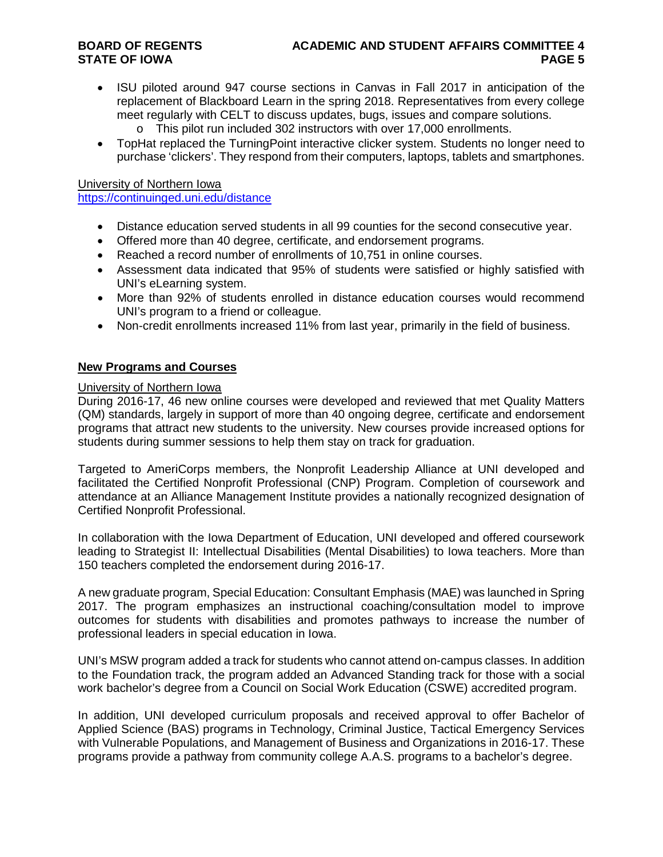# **BOARD OF REGENTS ACADEMIC AND STUDENT AFFAIRS COMMITTEE 4**

- ISU piloted around 947 course sections in Canvas in Fall 2017 in anticipation of the replacement of Blackboard Learn in the spring 2018. Representatives from every college meet regularly with CELT to discuss updates, bugs, issues and compare solutions.
	- o This pilot run included 302 instructors with over 17,000 enrollments.
- TopHat replaced the TurningPoint interactive clicker system. Students no longer need to purchase 'clickers'. They respond from their computers, laptops, tablets and smartphones.

University of Northern Iowa

<https://continuinged.uni.edu/distance>

- Distance education served students in all 99 counties for the second consecutive year.
- Offered more than 40 degree, certificate, and endorsement programs.
- Reached a record number of enrollments of 10,751 in online courses.
- Assessment data indicated that 95% of students were satisfied or highly satisfied with UNI's eLearning system.
- More than 92% of students enrolled in distance education courses would recommend UNI's program to a friend or colleague.
- Non-credit enrollments increased 11% from last year, primarily in the field of business.

#### **New Programs and Courses**

#### University of Northern Iowa

During 2016-17, 46 new online courses were developed and reviewed that met Quality Matters (QM) standards, largely in support of more than 40 ongoing degree, certificate and endorsement programs that attract new students to the university. New courses provide increased options for students during summer sessions to help them stay on track for graduation.

Targeted to AmeriCorps members, the Nonprofit Leadership Alliance at UNI developed and facilitated the Certified Nonprofit Professional (CNP) Program. Completion of coursework and attendance at an Alliance Management Institute provides a nationally recognized designation of Certified Nonprofit Professional.

In collaboration with the Iowa Department of Education, UNI developed and offered coursework leading to Strategist II: Intellectual Disabilities (Mental Disabilities) to Iowa teachers. More than 150 teachers completed the endorsement during 2016-17.

A new graduate program, Special Education: Consultant Emphasis (MAE) was launched in Spring 2017. The program emphasizes an instructional coaching/consultation model to improve outcomes for students with disabilities and promotes pathways to increase the number of professional leaders in special education in Iowa.

UNI's MSW program added a track for students who cannot attend on-campus classes. In addition to the Foundation track, the program added an Advanced Standing track for those with a social work bachelor's degree from a Council on Social Work Education (CSWE) accredited program.

In addition, UNI developed curriculum proposals and received approval to offer Bachelor of Applied Science (BAS) programs in Technology, Criminal Justice, Tactical Emergency Services with Vulnerable Populations, and Management of Business and Organizations in 2016-17. These programs provide a pathway from community college A.A.S. programs to a bachelor's degree.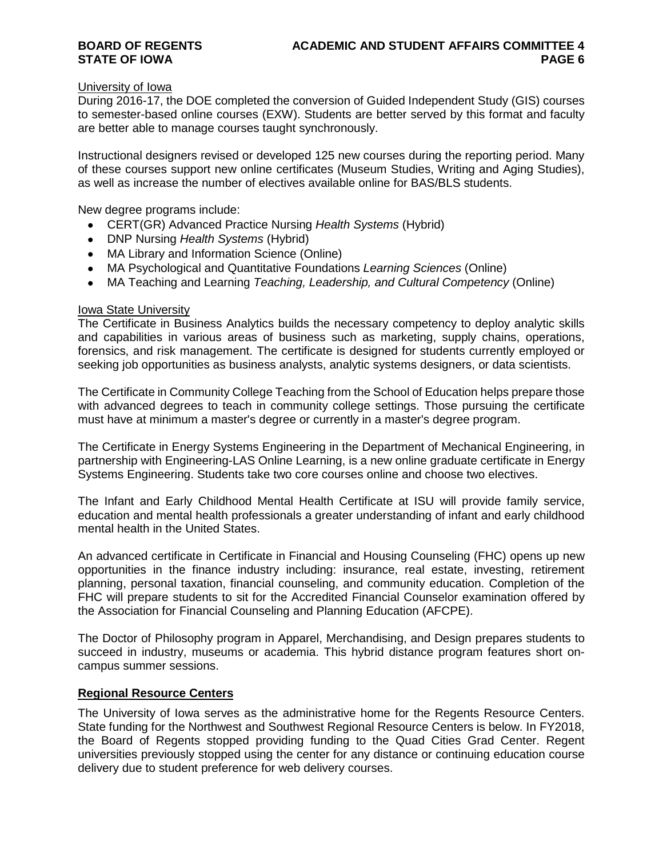#### University of Iowa

During 2016-17, the DOE completed the conversion of Guided Independent Study (GIS) courses to semester-based online courses (EXW). Students are better served by this format and faculty are better able to manage courses taught synchronously.

Instructional designers revised or developed 125 new courses during the reporting period. Many of these courses support new online certificates (Museum Studies, Writing and Aging Studies), as well as increase the number of electives available online for BAS/BLS students.

New degree programs include:

- CERT(GR) Advanced Practice Nursing *Health Systems* (Hybrid)
- DNP Nursing *Health Systems* (Hybrid)
- MA Library and Information Science (Online)
- MA Psychological and Quantitative Foundations *Learning Sciences* (Online)
- MA Teaching and Learning *Teaching, Leadership, and Cultural Competency* (Online)

#### Iowa State University

The Certificate in Business Analytics builds the necessary competency to deploy analytic skills and capabilities in various areas of business such as marketing, supply chains, operations, forensics, and risk management. The certificate is designed for students currently employed or seeking job opportunities as business analysts, analytic systems designers, or data scientists.

The Certificate in Community College Teaching from the School of Education helps prepare those with advanced degrees to teach in community college settings. Those pursuing the certificate must have at minimum a master's degree or currently in a master's degree program.

The Certificate in Energy Systems Engineering in the Department of Mechanical Engineering, in partnership with Engineering-LAS Online Learning, is a new online graduate certificate in Energy Systems Engineering. Students take two core courses online and choose two electives.

The Infant and Early Childhood Mental Health Certificate at ISU will provide family service, education and mental health professionals a greater understanding of infant and early childhood mental health in the United States.

An advanced certificate in Certificate in Financial and Housing Counseling (FHC) opens up new opportunities in the finance industry including: insurance, real estate, investing, retirement planning, personal taxation, financial counseling, and community education. Completion of the FHC will prepare students to sit for the Accredited Financial Counselor examination offered by the Association for Financial Counseling and Planning Education (AFCPE).

The Doctor of Philosophy program in Apparel, Merchandising, and Design prepares students to succeed in industry, museums or academia. This hybrid distance program features short oncampus summer sessions.

#### **Regional Resource Centers**

The University of Iowa serves as the administrative home for the Regents Resource Centers. State funding for the Northwest and Southwest Regional Resource Centers is below. In FY2018, the Board of Regents stopped providing funding to the Quad Cities Grad Center. Regent universities previously stopped using the center for any distance or continuing education course delivery due to student preference for web delivery courses.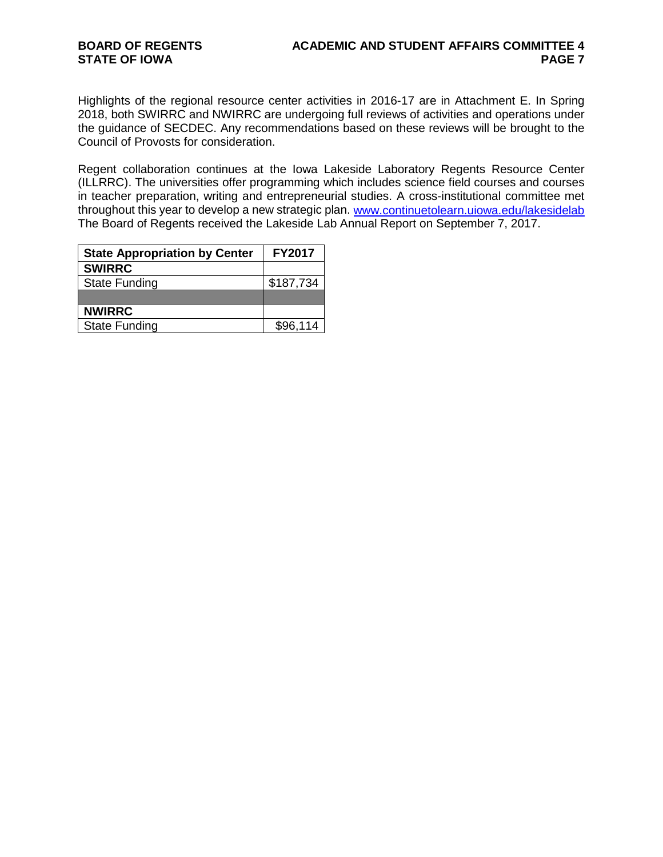Highlights of the regional resource center activities in 2016-17 are in Attachment E. In Spring 2018, both SWIRRC and NWIRRC are undergoing full reviews of activities and operations under the guidance of SECDEC. Any recommendations based on these reviews will be brought to the Council of Provosts for consideration.

Regent collaboration continues at the Iowa Lakeside Laboratory Regents Resource Center (ILLRRC). The universities offer programming which includes science field courses and courses in teacher preparation, writing and entrepreneurial studies. A cross-institutional committee met throughout this year to develop a new strategic plan. [www.continuetolearn.uiowa.edu/lakesidelab](http://www.continuetolearn.uiowa.edu/lakesidelab) The Board of Regents received the Lakeside Lab Annual Report on September 7, 2017.

| <b>State Appropriation by Center</b> | <b>FY2017</b> |
|--------------------------------------|---------------|
| <b>SWIRRC</b>                        |               |
| <b>State Funding</b>                 | \$187,734     |
|                                      |               |
| <b>NWIRRC</b>                        |               |
| <b>State Funding</b>                 | \$96,114      |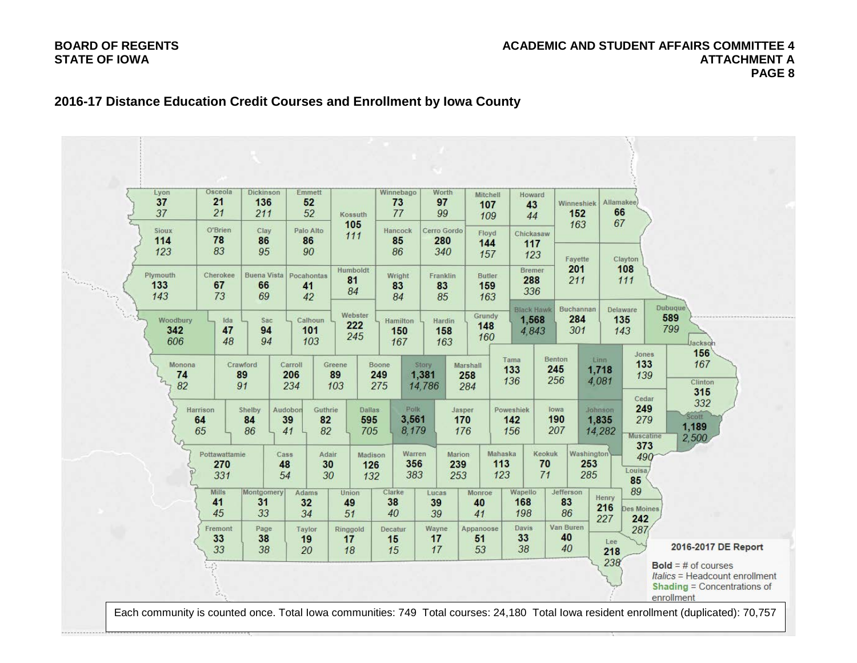#### **BOARD OF REGENTS ACADEMIC AND STUDENT AFFAIRS COMMITTEE 4 STATE OF IOWA ATTACHMENT A PAGE 8**

### **2016-17 Distance Education Credit Courses and Enrollment by Iowa County**

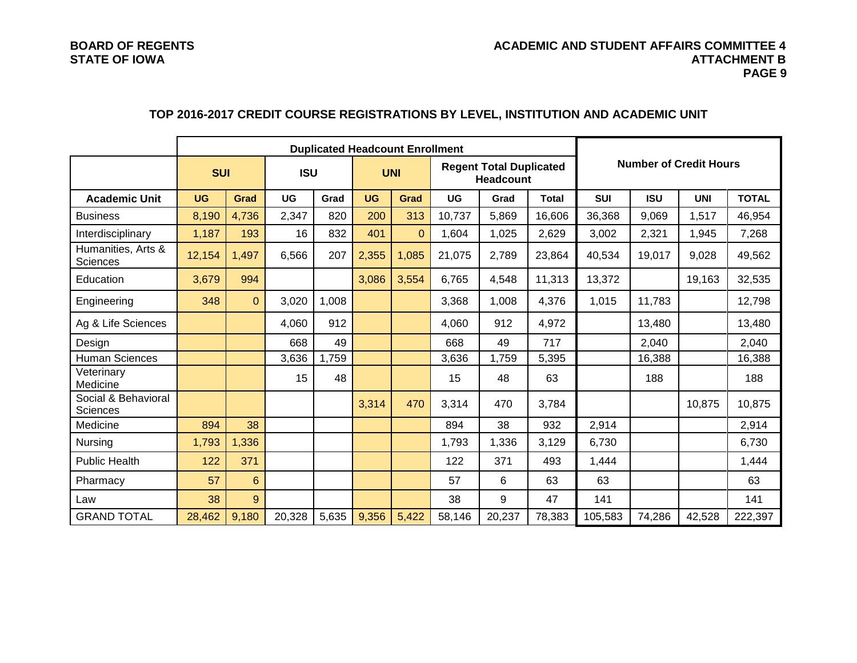#### **BOARD OF REGENTS ACADEMIC AND STUDENT AFFAIRS COMMITTEE 4 STATE OF IOWA ATTACHMENT B PAGE 9**

### **Duplicated Headcount Enrollment Number of Credit Hours SUI ISU UNI Regent Total Duplicated Headcount Academic Unit UG Grad UG Grad UG Grad UG Grad Total SUI ISU UNI TOTAL** Business <mark> 8,190 | 4,736 |</mark> 2,347 | 820 | 200 | 313 | 10,737 | 5,869 | 16,606 | 36,368 | 9,069 | 1,517 | 46,954 Interdisciplinary <mark>| 1,187 | 193 |</mark> 16 | 832 | 401 | 0 | 1,604 | 1,025 | 2,629 | 3,002 | 2,321 | 1,945 | 7,268 Humanities, Arts & Sciences 12,154 1,497 6,566 207 2,355 1,085 21,075 2,789 23,864 40,534 19,017 9,028 49,562 Education <mark> 3,679 | 994 |</mark> | <mark>| 3,086 | 3,554 |</mark> 6,765 | 4,548 | 11,313 | 13,372 | | 19,163 | 32,535 Engineering <mark> 348 | 0 |</mark> 3,020 | 1,008 | | | 3,368 | 1,008 | 4,376 | 1,015 | 11,783 | | 12,798 Ag & Life Sciences **4,060 | 4,060 | 912 | 4,060 | 912 | 912 | 4,972 | 13,480** | 13,480 | 13,480 Design | | <mark>|</mark> 668 | 49 | | 668 | 49 | 717 | | 2,040 | | 2,040 Human Sciences 3,636 | 1,759 | 3,636 | 1,759 | 5,395 | 16,388 | 16,388 Veterinary<br>Medicine vetermary 15 188 15 48 15 48 15 48 63 188 188 188 Social & Behavioral<br>Sciences Sciences 3, 3,314 670 3,314 470 3,314 470 3,784 10,875 10,875 10,875 Medicine 894 38 894 38 932 2,914 2,914 Nursing <mark>| 1,793 | 1,336 |</mark> | | 1,793 | 1,336 | 3,129 | 6,730 | | | 6,730 Public Health 122 371 122 371 493 1,444 1,444 Pharmacy 57 6 57 6 63 63 63 Law <mark> 38 | 9 | | |</mark> 38 | 9 | 47 | 141 | | | 141 GRAND TOTAL <mark> 28,462 | 9,180 |</mark> 20,328 | 5,635 <mark>| 9,356 | 5,422</mark> | 58,146 | 20,237 | 78,383 | 105,583 | 74,286 | 42,528 | 222,397

### **TOP 2016-2017 CREDIT COURSE REGISTRATIONS BY LEVEL, INSTITUTION AND ACADEMIC UNIT**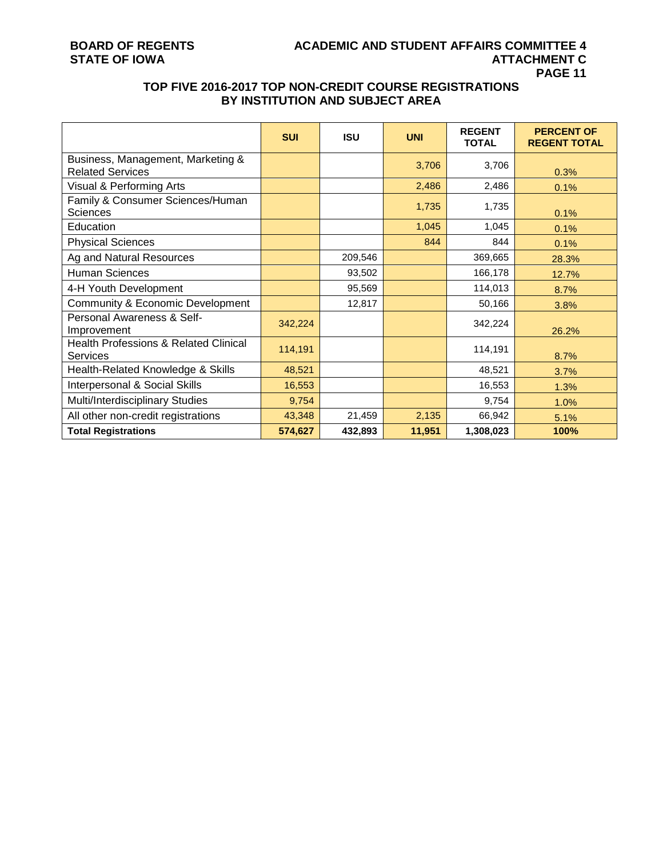### **BOARD OF REGENTS ACADEMIC AND STUDENT AFFAIRS COMMITTEE 4 PAGE 11**

### **TOP FIVE 2016-2017 TOP NON-CREDIT COURSE REGISTRATIONS BY INSTITUTION AND SUBJECT AREA**

|                                                                     | <b>SUI</b> | <b>ISU</b> | <b>UNI</b> | <b>REGENT</b><br><b>TOTAL</b> | <b>PERCENT OF</b><br><b>REGENT TOTAL</b> |
|---------------------------------------------------------------------|------------|------------|------------|-------------------------------|------------------------------------------|
| Business, Management, Marketing &<br><b>Related Services</b>        |            |            | 3,706      | 3,706                         | 0.3%                                     |
| Visual & Performing Arts                                            |            |            | 2,486      | 2,486                         | 0.1%                                     |
| Family & Consumer Sciences/Human<br><b>Sciences</b>                 |            |            | 1,735      | 1,735                         | 0.1%                                     |
| Education                                                           |            |            | 1,045      | 1,045                         | 0.1%                                     |
| <b>Physical Sciences</b>                                            |            |            | 844        | 844                           | 0.1%                                     |
| Ag and Natural Resources                                            |            | 209,546    |            | 369,665                       | 28.3%                                    |
| <b>Human Sciences</b>                                               |            | 93,502     |            | 166,178                       | 12.7%                                    |
| 4-H Youth Development                                               |            | 95,569     |            | 114,013                       | 8.7%                                     |
| <b>Community &amp; Economic Development</b>                         |            | 12,817     |            | 50,166                        | 3.8%                                     |
| Personal Awareness & Self-<br>Improvement                           | 342,224    |            |            | 342,224                       | 26.2%                                    |
| <b>Health Professions &amp; Related Clinical</b><br><b>Services</b> | 114,191    |            |            | 114,191                       | 8.7%                                     |
| Health-Related Knowledge & Skills                                   | 48,521     |            |            | 48,521                        | 3.7%                                     |
| Interpersonal & Social Skills                                       | 16,553     |            |            | 16,553                        | 1.3%                                     |
| Multi/Interdisciplinary Studies                                     | 9,754      |            |            | 9,754                         | 1.0%                                     |
| All other non-credit registrations                                  | 43,348     | 21,459     | 2,135      | 66,942                        | 5.1%                                     |
| <b>Total Registrations</b>                                          | 574,627    | 432,893    | 11,951     | 1,308,023                     | 100%                                     |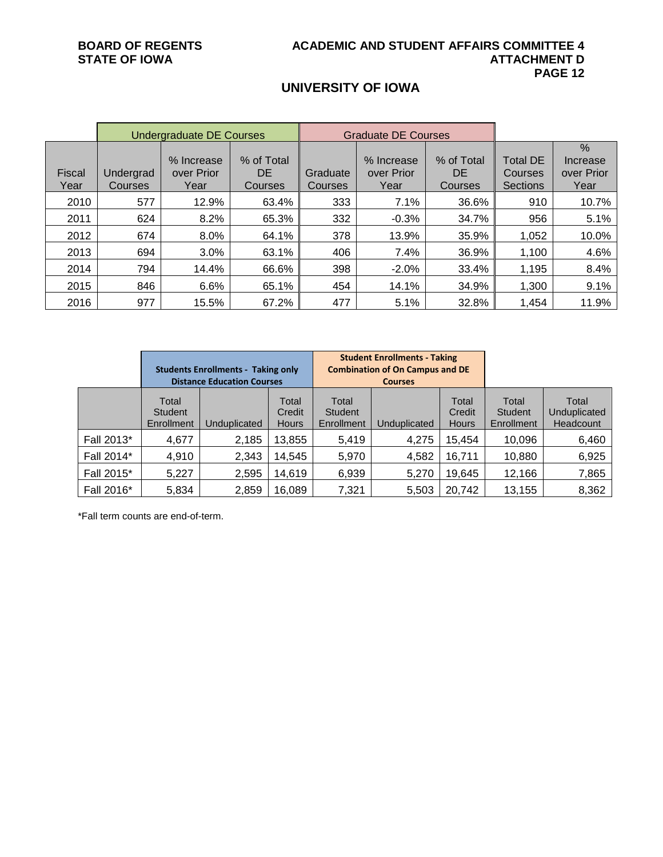### **UNIVERSITY OF IOWA**

|                | Undergraduate DE Courses |                                  |                                    |                     | <b>Graduate DE Courses</b>       |                             |                                               |                                        |
|----------------|--------------------------|----------------------------------|------------------------------------|---------------------|----------------------------------|-----------------------------|-----------------------------------------------|----------------------------------------|
| Fiscal<br>Year | Undergrad<br>Courses     | % Increase<br>over Prior<br>Year | % of Total<br><b>DE</b><br>Courses | Graduate<br>Courses | % Increase<br>over Prior<br>Year | % of Total<br>DE<br>Courses | <b>Total DE</b><br>Courses<br><b>Sections</b> | $\%$<br>Increase<br>over Prior<br>Year |
| 2010           | 577                      | 12.9%                            | 63.4%                              | 333                 | 7.1%                             | 36.6%                       | 910                                           | 10.7%                                  |
| 2011           | 624                      | 8.2%                             | 65.3%                              | 332                 | $-0.3%$                          | 34.7%                       | 956                                           | 5.1%                                   |
| 2012           | 674                      | 8.0%                             | 64.1%                              | 378                 | 13.9%                            | 35.9%                       | 1,052                                         | 10.0%                                  |
| 2013           | 694                      | 3.0%                             | 63.1%                              | 406                 | 7.4%                             | 36.9%                       | 1,100                                         | 4.6%                                   |
| 2014           | 794                      | 14.4%                            | 66.6%                              | 398                 | $-2.0%$                          | 33.4%                       | 1,195                                         | 8.4%                                   |
| 2015           | 846                      | 6.6%                             | 65.1%                              | 454                 | 14.1%                            | 34.9%                       | 1,300                                         | 9.1%                                   |
| 2016           | 977                      | 15.5%                            | 67.2%                              | 477                 | 5.1%                             | 32.8%                       | 1,454                                         | 11.9%                                  |

|            | <b>Students Enrollments - Taking only</b><br><b>Distance Education Courses</b> |              |                                 |                                       | <b>Student Enrollments - Taking</b><br><b>Combination of On Campus and DE</b><br><b>Courses</b> |                                 |                                |                                    |
|------------|--------------------------------------------------------------------------------|--------------|---------------------------------|---------------------------------------|-------------------------------------------------------------------------------------------------|---------------------------------|--------------------------------|------------------------------------|
|            | Total<br>Student<br>Enrollment                                                 | Unduplicated | Total<br>Credit<br><b>Hours</b> | Total<br><b>Student</b><br>Enrollment | Unduplicated                                                                                    | Total<br>Credit<br><b>Hours</b> | Total<br>Student<br>Enrollment | Total<br>Unduplicated<br>Headcount |
| Fall 2013* | 4,677                                                                          | 2,185        | 13,855                          | 5,419                                 | 4,275                                                                                           | 15,454                          | 10,096                         | 6,460                              |
| Fall 2014* | 4,910                                                                          | 2,343        | 14,545                          | 5,970                                 | 4,582                                                                                           | 16,711                          | 10,880                         | 6,925                              |
| Fall 2015* | 5,227                                                                          | 2,595        | 14,619                          | 6,939                                 | 5,270                                                                                           | 19,645                          | 12,166                         | 7,865                              |
| Fall 2016* | 5,834                                                                          | 2,859        | 16,089                          | 7,321                                 | 5,503                                                                                           | 20,742                          | 13,155                         | 8,362                              |

\*Fall term counts are end-of-term.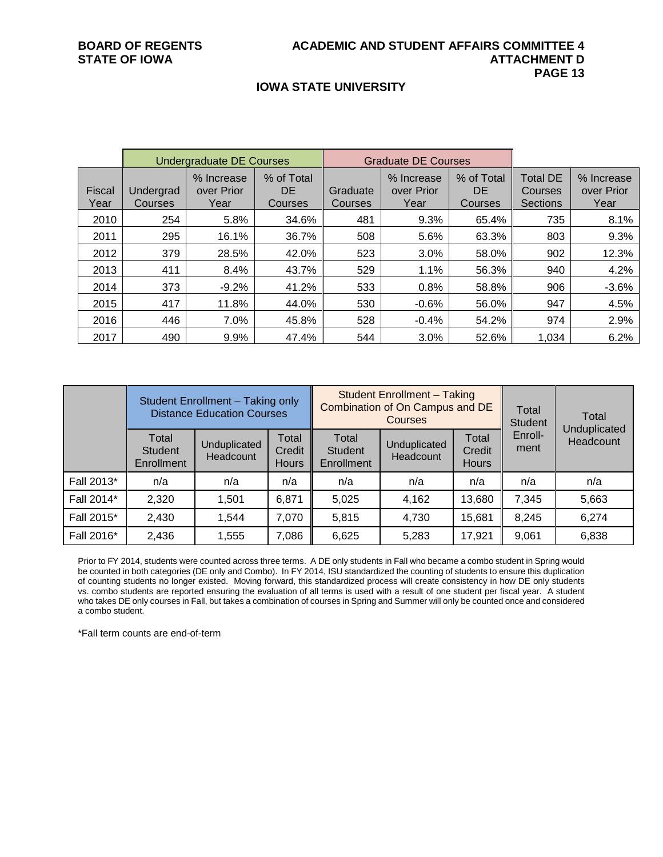#### **IOWA STATE UNIVERSITY**

|                |                      | Undergraduate DE Courses         |                              |                     | Graduate DE Courses              |                                     |                                                      |                                  |
|----------------|----------------------|----------------------------------|------------------------------|---------------------|----------------------------------|-------------------------------------|------------------------------------------------------|----------------------------------|
| Fiscal<br>Year | Undergrad<br>Courses | % Increase<br>over Prior<br>Year | % of Total<br>DE.<br>Courses | Graduate<br>Courses | % Increase<br>over Prior<br>Year | % of Total<br>DE.<br><b>Courses</b> | <b>Total DE</b><br><b>Courses</b><br><b>Sections</b> | % Increase<br>over Prior<br>Year |
| 2010           | 254                  | 5.8%                             | 34.6%                        | 481                 | 9.3%                             | 65.4%                               | 735                                                  | 8.1%                             |
| 2011           | 295                  | 16.1%                            | 36.7%                        | 508                 | 5.6%                             | 63.3%                               | 803                                                  | 9.3%                             |
| 2012           | 379                  | 28.5%                            | 42.0%                        | 523                 | 3.0%                             | 58.0%                               | 902                                                  | 12.3%                            |
| 2013           | 411                  | 8.4%                             | 43.7%                        | 529                 | 1.1%                             | 56.3%                               | 940                                                  | 4.2%                             |
| 2014           | 373                  | $-9.2%$                          | 41.2%                        | 533                 | 0.8%                             | 58.8%                               | 906                                                  | $-3.6%$                          |
| 2015           | 417                  | 11.8%                            | 44.0%                        | 530                 | $-0.6%$                          | 56.0%                               | 947                                                  | 4.5%                             |
| 2016           | 446                  | 7.0%                             | 45.8%                        | 528                 | $-0.4%$                          | 54.2%                               | 974                                                  | 2.9%                             |
| 2017           | 490                  | 9.9%                             | 47.4%                        | 544                 | 3.0%                             | 52.6%                               | 1,034                                                | 6.2%                             |

| Student Enrollment - Taking only<br><b>Distance Education Courses</b> |                                              |                           |                                 |                                       | <b>Student Enrollment - Taking</b><br>Combination of On Campus and DE<br><b>Courses</b> |                                 | Total<br><b>Student</b> | Total                     |
|-----------------------------------------------------------------------|----------------------------------------------|---------------------------|---------------------------------|---------------------------------------|-----------------------------------------------------------------------------------------|---------------------------------|-------------------------|---------------------------|
|                                                                       | Total<br><b>Student</b><br><b>Enrollment</b> | Unduplicated<br>Headcount | Total<br>Credit<br><b>Hours</b> | Total<br><b>Student</b><br>Enrollment | Unduplicated<br>Headcount                                                               | Total<br>Credit<br><b>Hours</b> | Enroll-<br>ment         | Unduplicated<br>Headcount |
| Fall 2013*                                                            | n/a                                          | n/a                       | n/a                             | n/a                                   | n/a                                                                                     | n/a                             | n/a                     | n/a                       |
| Fall 2014*                                                            | 2,320                                        | 1,501                     | 6,871                           | 5,025                                 | 4,162                                                                                   | 13,680                          | 7,345                   | 5,663                     |
| Fall 2015*                                                            | 2,430                                        | 1,544                     | 7,070                           | 5,815                                 | 4,730                                                                                   | 15,681                          | 8,245                   | 6,274                     |
| Fall 2016*                                                            | 2,436                                        | 1,555                     | 7,086                           | 6,625                                 | 5,283                                                                                   | 17,921                          | 9,061                   | 6,838                     |

Prior to FY 2014, students were counted across three terms. A DE only students in Fall who became a combo student in Spring would be counted in both categories (DE only and Combo). In FY 2014, ISU standardized the counting of students to ensure this duplication of counting students no longer existed. Moving forward, this standardized process will create consistency in how DE only students vs. combo students are reported ensuring the evaluation of all terms is used with a result of one student per fiscal year. A student who takes DE only courses in Fall, but takes a combination of courses in Spring and Summer will only be counted once and considered a combo student.

\*Fall term counts are end-of-term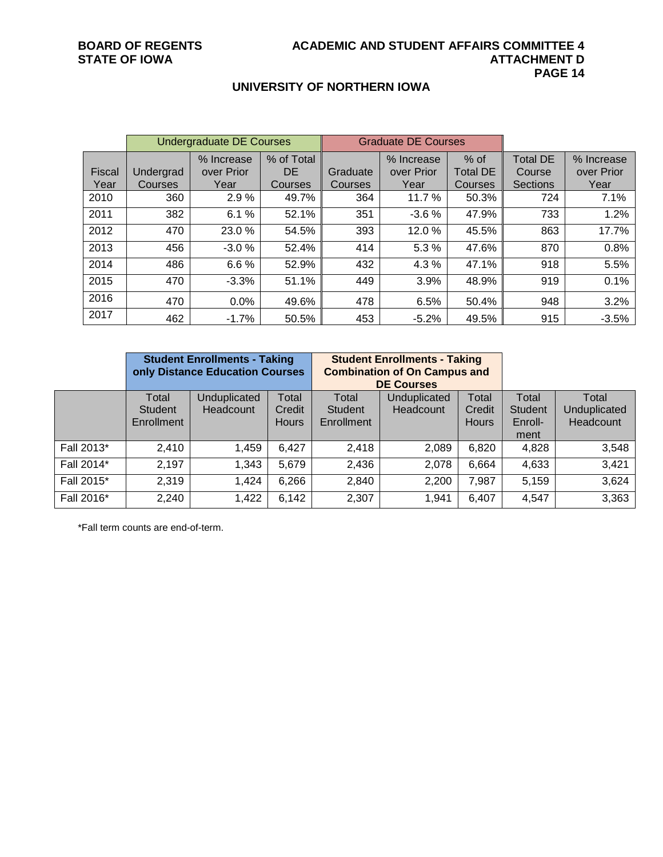### **UNIVERSITY OF NORTHERN IOWA**

|                | <b>Undergraduate DE Courses</b> |                                  |                              |                     | <b>Graduate DE Courses</b>       |                                      |                                              |                                  |
|----------------|---------------------------------|----------------------------------|------------------------------|---------------------|----------------------------------|--------------------------------------|----------------------------------------------|----------------------------------|
| Fiscal<br>Year | Undergrad<br>Courses            | % Increase<br>over Prior<br>Year | % of Total<br>DE.<br>Courses | Graduate<br>Courses | % Increase<br>over Prior<br>Year | $%$ of<br><b>Total DE</b><br>Courses | <b>Total DE</b><br>Course<br><b>Sections</b> | % Increase<br>over Prior<br>Year |
| 2010           | 360                             | 2.9%                             | 49.7%                        | 364                 | 11.7 %                           | 50.3%                                | 724                                          | 7.1%                             |
| 2011           | 382                             | %<br>6.1                         | 52.1%                        | 351                 | $-3.6%$                          | 47.9%                                | 733                                          | 1.2%                             |
| 2012           | 470                             | 23.0 %                           | 54.5%                        | 393                 | 12.0%                            | 45.5%                                | 863                                          | 17.7%                            |
| 2013           | 456                             | $-3.0%$                          | 52.4%                        | 414                 | 5.3 %                            | 47.6%                                | 870                                          | 0.8%                             |
| 2014           | 486                             | 6.6%                             | 52.9%                        | 432                 | 4.3%                             | 47.1%                                | 918                                          | 5.5%                             |
| 2015           | 470                             | $-3.3%$                          | 51.1%                        | 449                 | 3.9%                             | 48.9%                                | 919                                          | 0.1%                             |
| 2016           | 470                             | 0.0%                             | 49.6%                        | 478                 | 6.5%                             | 50.4%                                | 948                                          | 3.2%                             |
| 2017           | 462                             | $-1.7%$                          | 50.5%                        | 453                 | $-5.2%$                          | 49.5%                                | 915                                          | $-3.5%$                          |

|            | <b>Student Enrollments - Taking</b><br>only Distance Education Courses |              |              |                | <b>Student Enrollments - Taking</b><br><b>Combination of On Campus and</b><br><b>DE Courses</b> |              |                |              |
|------------|------------------------------------------------------------------------|--------------|--------------|----------------|-------------------------------------------------------------------------------------------------|--------------|----------------|--------------|
|            | Total                                                                  | Unduplicated | Total        | Total          | Unduplicated                                                                                    | Total        | Total          | Total        |
|            | <b>Student</b>                                                         | Headcount    | Credit       | <b>Student</b> | Headcount                                                                                       | Credit       | <b>Student</b> | Unduplicated |
|            | Enrollment                                                             |              | <b>Hours</b> | Enrollment     |                                                                                                 | <b>Hours</b> | Enroll-        | Headcount    |
|            |                                                                        |              |              |                |                                                                                                 |              | ment           |              |
| Fall 2013* | 2,410                                                                  | 1,459        | 6,427        | 2,418          | 2,089                                                                                           | 6,820        | 4,828          | 3,548        |
| Fall 2014* | 2,197                                                                  | 1,343        | 5,679        | 2,436          | 2,078                                                                                           | 6,664        | 4,633          | 3,421        |
| Fall 2015* | 2,319                                                                  | 1,424        | 6,266        | 2,840          | 2,200                                                                                           | 7,987        | 5,159          | 3,624        |
| Fall 2016* | 2,240                                                                  | 1,422        | 6,142        | 2,307          | 1,941                                                                                           | 6,407        | 4,547          | 3,363        |

\*Fall term counts are end-of-term.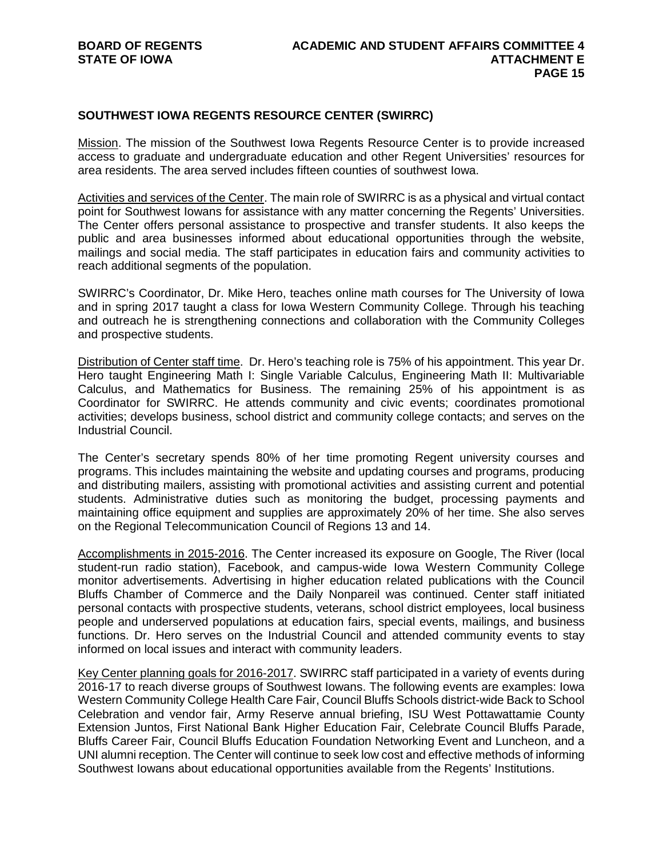#### **SOUTHWEST IOWA REGENTS RESOURCE CENTER (SWIRRC)**

Mission. The mission of the Southwest Iowa Regents Resource Center is to provide increased access to graduate and undergraduate education and other Regent Universities' resources for area residents. The area served includes fifteen counties of southwest Iowa.

Activities and services of the Center. The main role of SWIRRC is as a physical and virtual contact point for Southwest Iowans for assistance with any matter concerning the Regents' Universities. The Center offers personal assistance to prospective and transfer students. It also keeps the public and area businesses informed about educational opportunities through the website, mailings and social media. The staff participates in education fairs and community activities to reach additional segments of the population.

SWIRRC's Coordinator, Dr. Mike Hero, teaches online math courses for The University of Iowa and in spring 2017 taught a class for Iowa Western Community College. Through his teaching and outreach he is strengthening connections and collaboration with the Community Colleges and prospective students.

Distribution of Center staff time. Dr. Hero's teaching role is 75% of his appointment. This year Dr. Hero taught Engineering Math I: Single Variable Calculus, Engineering Math II: Multivariable Calculus, and Mathematics for Business. The remaining 25% of his appointment is as Coordinator for SWIRRC. He attends community and civic events; coordinates promotional activities; develops business, school district and community college contacts; and serves on the Industrial Council.

The Center's secretary spends 80% of her time promoting Regent university courses and programs. This includes maintaining the website and updating courses and programs, producing and distributing mailers, assisting with promotional activities and assisting current and potential students. Administrative duties such as monitoring the budget, processing payments and maintaining office equipment and supplies are approximately 20% of her time. She also serves on the Regional Telecommunication Council of Regions 13 and 14.

Accomplishments in 2015-2016. The Center increased its exposure on Google, The River (local student-run radio station), Facebook, and campus-wide Iowa Western Community College monitor advertisements. Advertising in higher education related publications with the Council Bluffs Chamber of Commerce and the Daily Nonpareil was continued. Center staff initiated personal contacts with prospective students, veterans, school district employees, local business people and underserved populations at education fairs, special events, mailings, and business functions. Dr. Hero serves on the Industrial Council and attended community events to stay informed on local issues and interact with community leaders.

Key Center planning goals for 2016-2017. SWIRRC staff participated in a variety of events during 2016-17 to reach diverse groups of Southwest Iowans. The following events are examples: Iowa Western Community College Health Care Fair, Council Bluffs Schools district-wide Back to School Celebration and vendor fair, Army Reserve annual briefing, ISU West Pottawattamie County Extension Juntos, First National Bank Higher Education Fair, Celebrate Council Bluffs Parade, Bluffs Career Fair, Council Bluffs Education Foundation Networking Event and Luncheon, and a UNI alumni reception. The Center will continue to seek low cost and effective methods of informing Southwest Iowans about educational opportunities available from the Regents' Institutions.